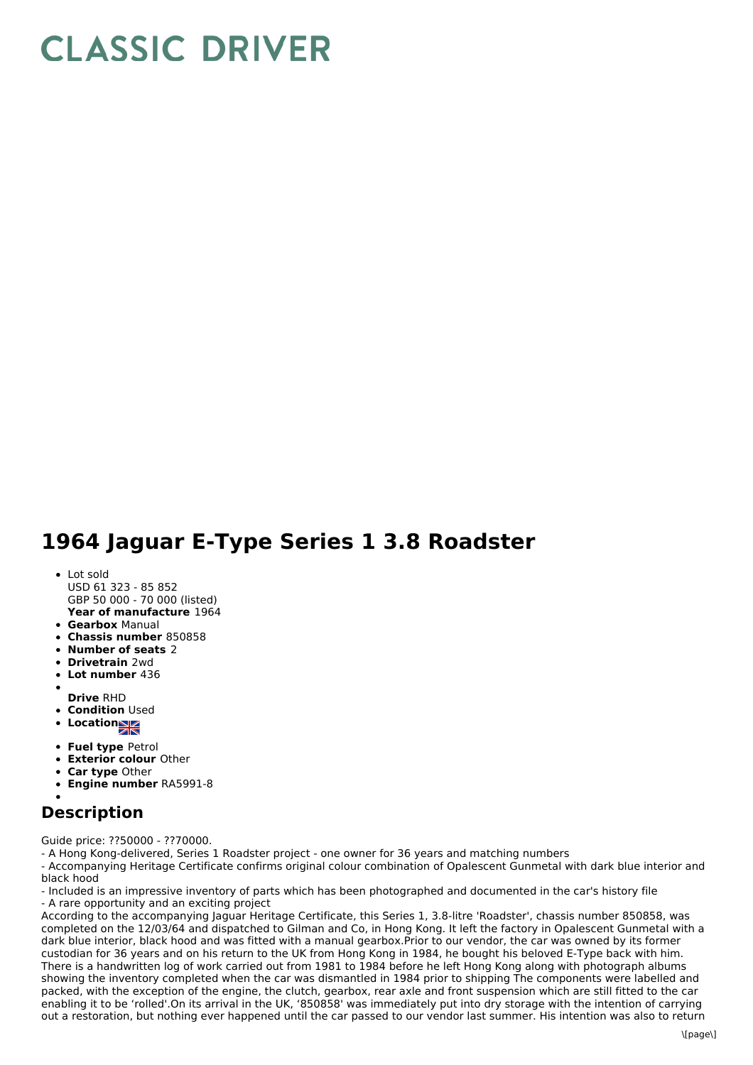## **CLASSIC DRIVER**

## **1964 Jaguar E-Type Series 1 3.8 Roadster**

- **Year of manufacture** 1964 Lot sold USD 61 323 - 85 852 GBP 50 000 - 70 000 (listed)
- **Gearbox** Manual
- **Chassis number** 850858
- **Number of seats** 2
- **Drivetrain** 2wd
- **Lot number** 436
- **Drive** RHD
- **Condition Used**
- **Location**
- 
- **Fuel type** Petrol
- **Exterior colour** Other
- **Car type** Other
- **Engine number** RA5991-8

## **Description**

Guide price: ??50000 - ??70000.

- A Hong Kong-delivered, Series 1 Roadster project - one owner for 36 years and matching numbers

- Accompanying Heritage Certificate confirms original colour combination of Opalescent Gunmetal with dark blue interior and black hood

- Included is an impressive inventory of parts which has been photographed and documented in the car's history file - A rare opportunity and an exciting project

According to the accompanying Jaguar Heritage Certificate, this Series 1, 3.8-litre 'Roadster', chassis number 850858, was completed on the 12/03/64 and dispatched to Gilman and Co, in Hong Kong. It left the factory in Opalescent Gunmetal with a dark blue interior, black hood and was fitted with a manual gearbox.Prior to our vendor, the car was owned by its former custodian for 36 years and on his return to the UK from Hong Kong in 1984, he bought his beloved E-Type back with him. There is a handwritten log of work carried out from 1981 to 1984 before he left Hong Kong along with photograph albums showing the inventory completed when the car was dismantled in 1984 prior to shipping The components were labelled and packed, with the exception of the engine, the clutch, gearbox, rear axle and front suspension which are still fitted to the car enabling it to be 'rolled'.On its arrival in the UK, '850858' was immediately put into dry storage with the intention of carrying out a restoration, but nothing ever happened until the car passed to our vendor last summer. His intention was also to return